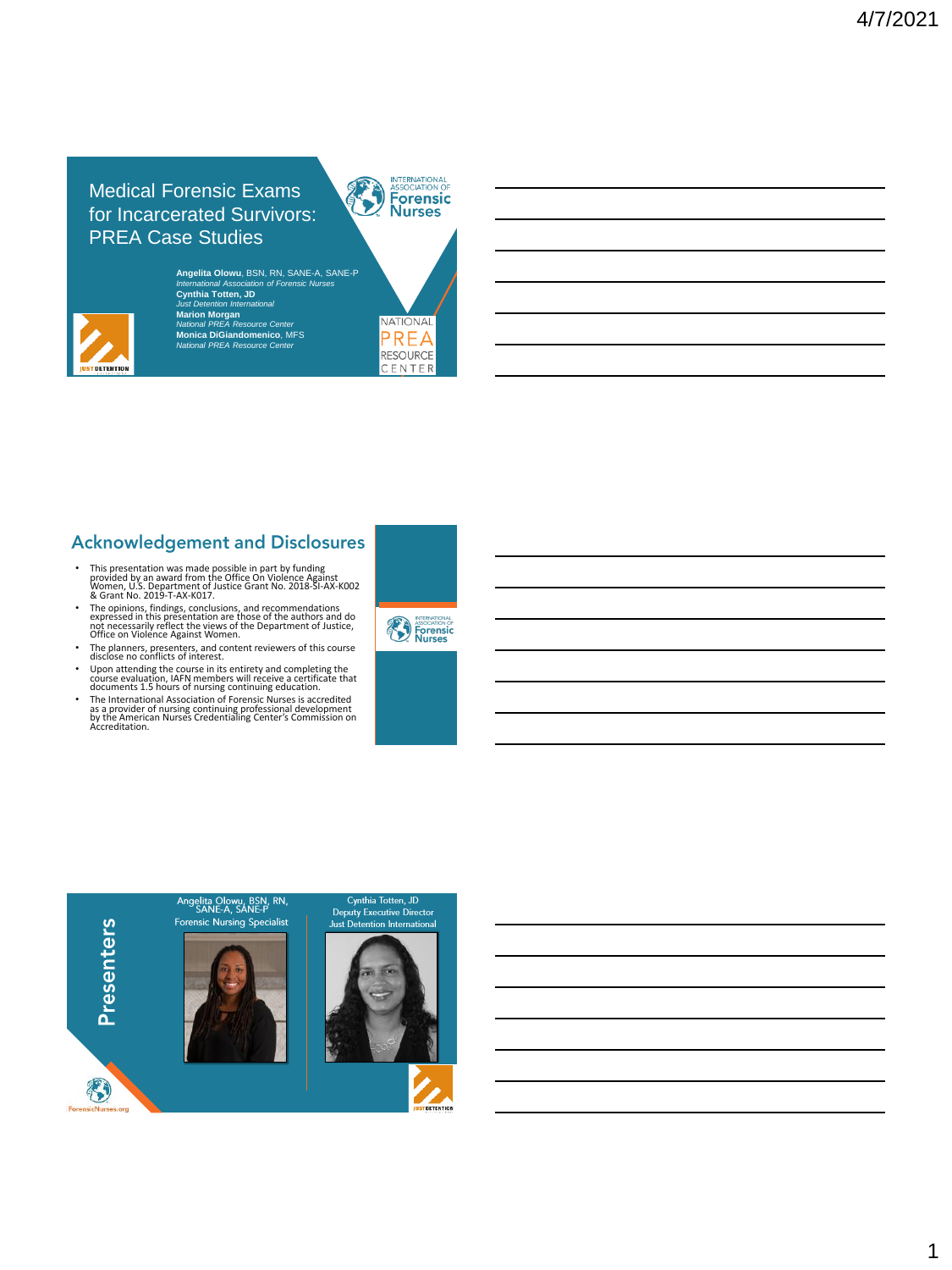Medical Forensic Exams for Incarcerated Survivors: PREA Case Studies



**Angelita Olowu**, BSN, RN, SANE-A, SANE-P *International Association of Forensic Nurses* **Cynthia Totten, JD** *Just Detention International* **Marion Morgan** *National PREA Resource Center* **Monica DiGiandomenico**, MFS *National PREA Resource Center*



# **Acknowledgement and Disclosures**

- This presentation was made possible in part by funding provided by an award from the Office On Violence Against Women, U.S. Department of Justice Grant No. 2018-SI-AX-K002 & Grant No. 2019-T-AX-K017.
- The opinions, findings, conclusions, and recommendations expressed in this presentation are those of the authors and do not necessarily reflect the views of the Department of Justice, Office on Violence Against Women.
- The planners, presenters, and content reviewers of this course
- 
- disclose no conflicts of interest.<br>
 Upon attending the course in its entirety and completing the<br>
course evaluation, IAFN members will receive a certificate that<br>
documents 1.5 hours of nursing continuing education.<br>
 T



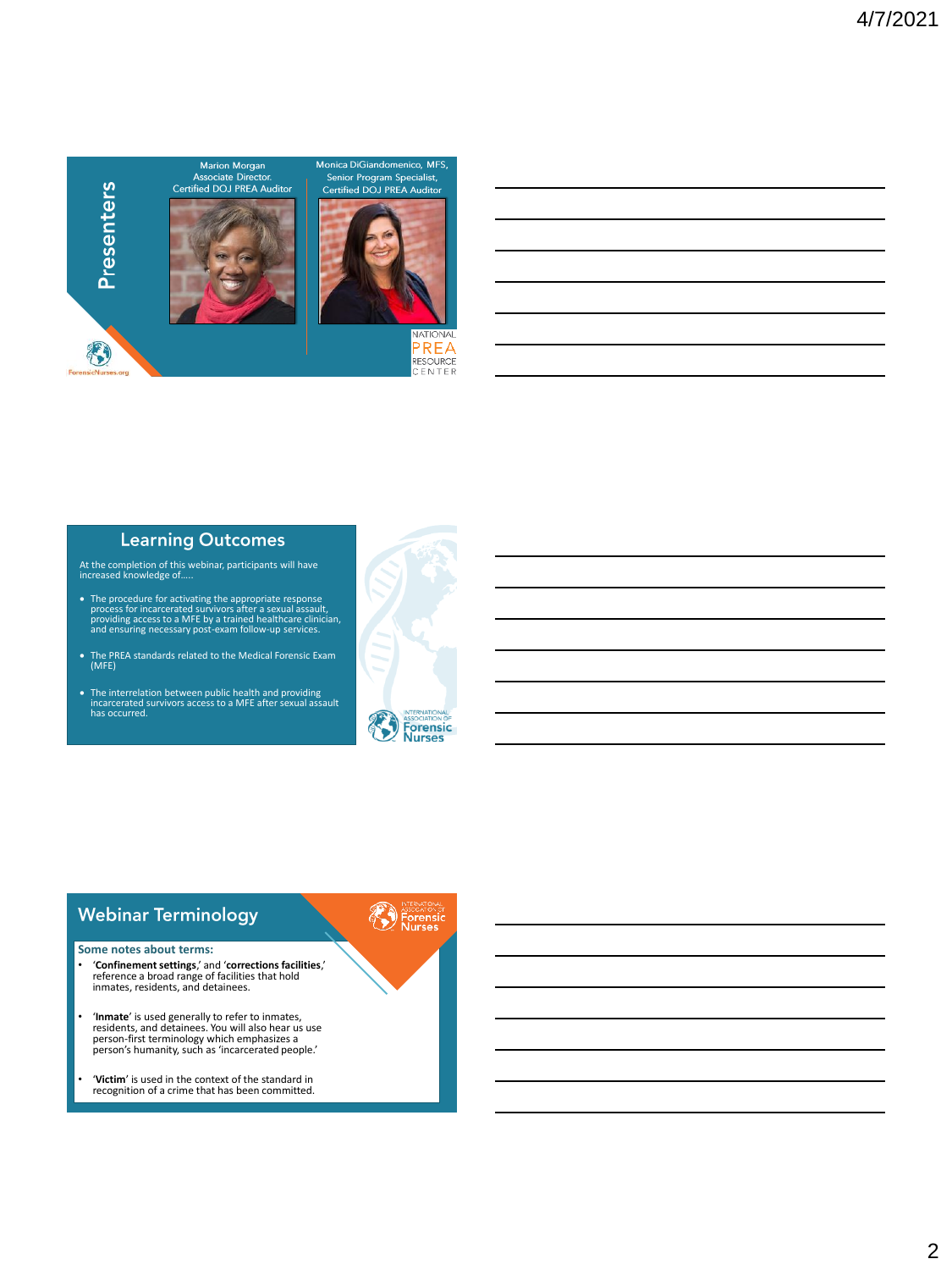

#### **Learning Outcomes**

At the completion of this webinar, participants will have increased knowledge of…..

- The procedure for activating the appropriate response<br>process for incarcerated survivors after a sexual assault,<br>providing access to a MFE by a trained healthcare clinician,<br>and ensuring necessary post-exam follow-up ser
- The PREA standards related to the Medical Forensic Exam (MFE)
- The interrelation between public health and providing incarcerated survivors access to a MFE after sexual assault has occurred.



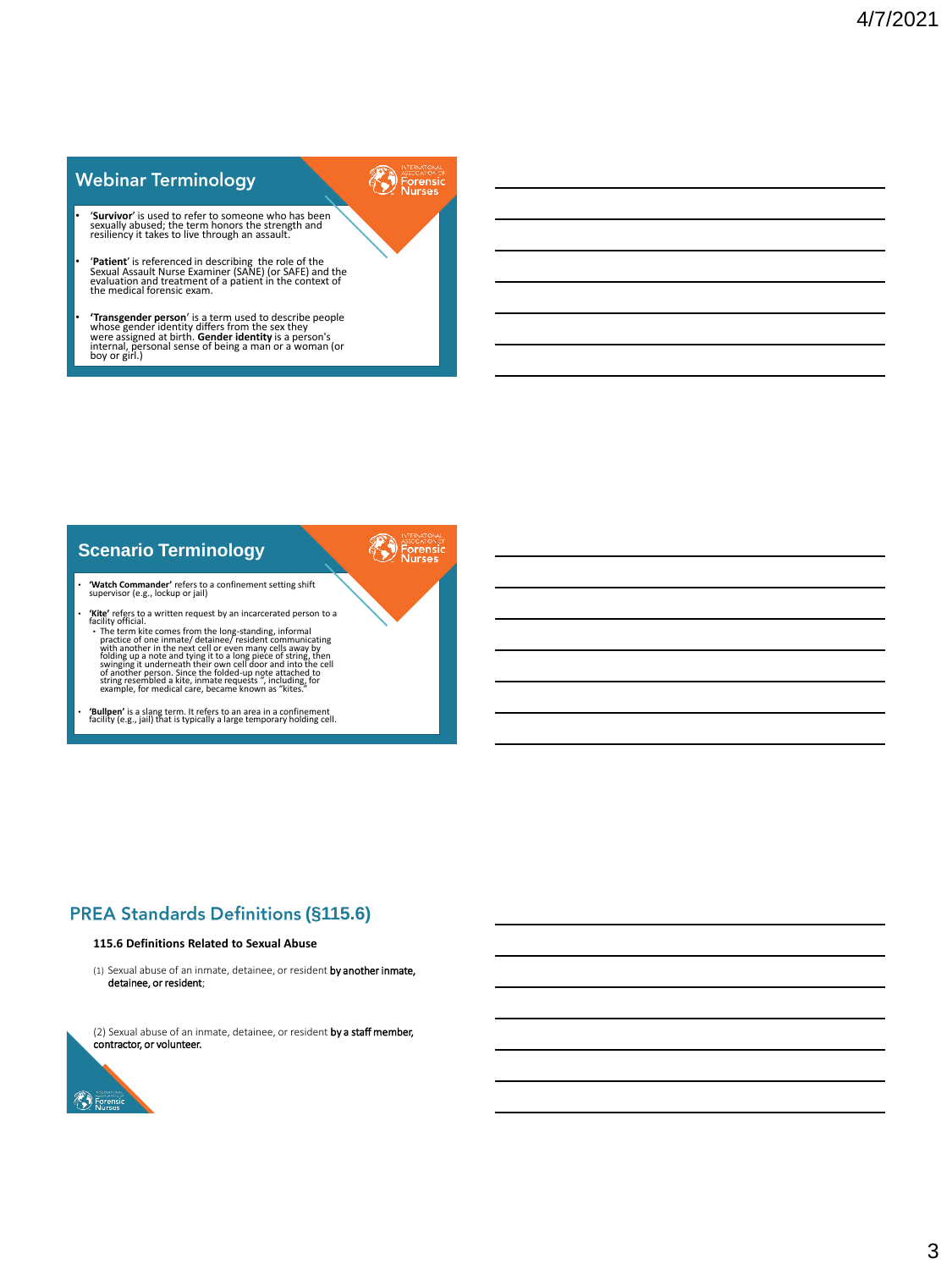# **Webinar Terminology**

• '**Survivor**' is used to refer to someone who has been sexually abused; the term honors the strength and resiliency it takes to live through an assault.

**PED Forensic** 

• **'Patient'** is referenced in describing the role of the<br>Sexual Assault Nurse Examiner (SANE) (or SAFE) and the<br>evaluation and treatment of a patient in the context of<br>the medical forensic exam.

**Transgender person'** is a term used to describe people<br>whose gender identity differs from the sex they<br>were assigned at birth. Gender identity is a person's<br>internal, personal sense of being a man or a woman (or<br>boy or gi



### **(§115.6)**

#### **115.6 Definitions Related to Sexual Abuse**

(1) Sexual abuse of an inmate, detainee, or resident by another inmate, detainee, or resident;

(2) Sexual abuse of an inmate, detainee, or resident by a staff member, contractor, or volunteer.



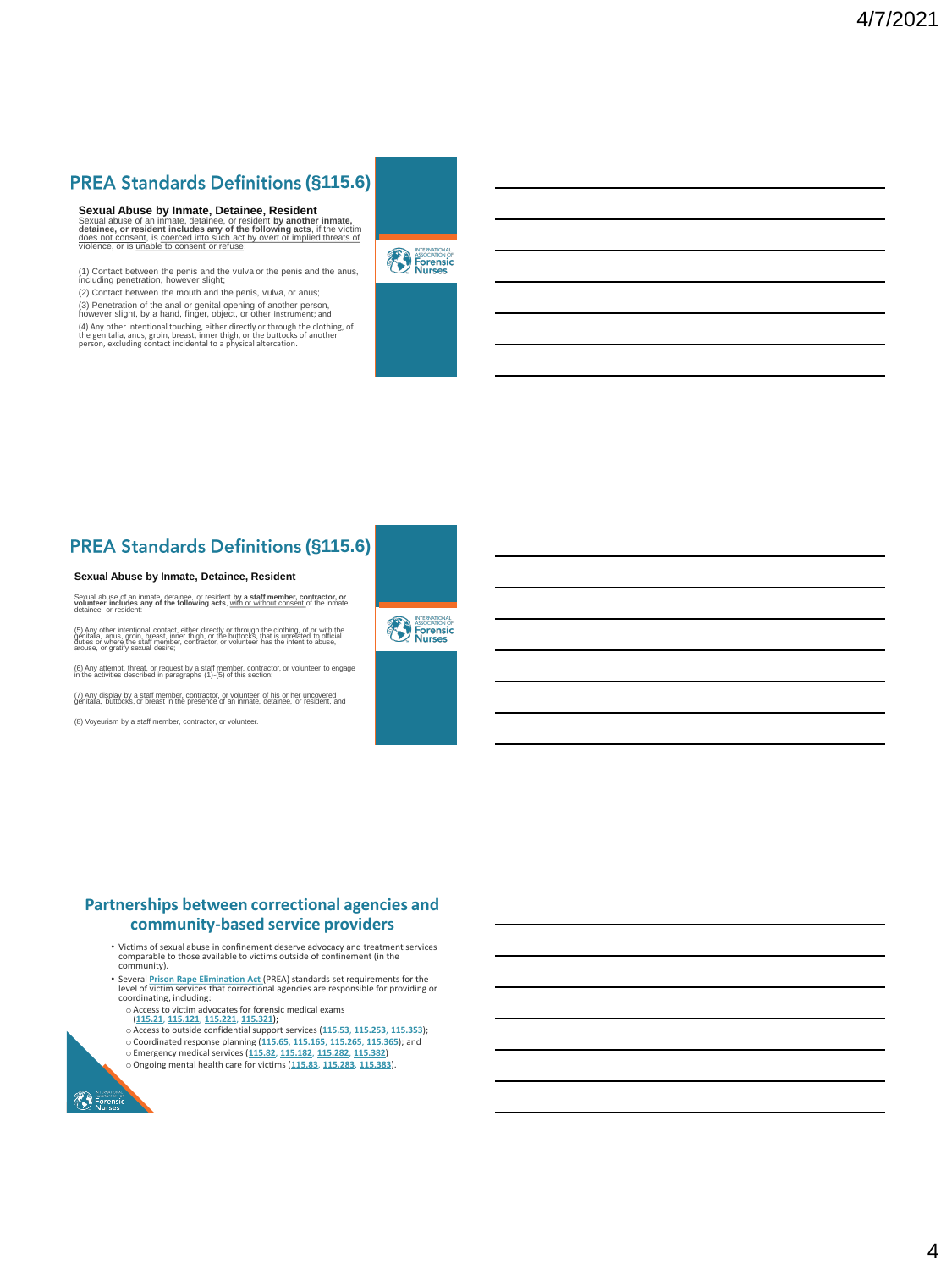# **PREA Standards Definitions (§115.6)**

**Sexual Abuse by Inmate, Detainee, Resident** Sexual abuse of an inmate, detainee, or resident by another inmate,<br>detainee, or resident includes any of the following acts, if the victim<br>does not consent, is coerced into such act by overt or implied threats of<br>violence

(1) Contact between the penis and the vulva or the penis and the anus, including penetration, however slight;

(2) Contact between the mouth and the penis, vulva, or anus; (3) Penetration of the anal or genital opening of another person, however slight, by a hand, finger, object, or other instrument; and

(4) Any other intentional touching, either directly or through the clothing, of the genitalia, anus, groin, breast, inner thigh, or the buttocks of another person, excluding contact incidental to a physical altercation.



# **PREA Standards Definitions (§115.6)**

#### **Sexual Abuse by Inmate, Detainee, Resident**

Sexual abuse of an inmate, detainee, or resident **by a staff member, contractor, or volunteer includes any of the following acts**, with or without consent of the inmate, detainee, or resident:

(5) Any other intentional contact, either directly or through the clothing, of or with the<br>genitalia, anus, groin, breast, inner thigh, or the buttocks, that is unrelated to official<br>duties or where the staff member, contr

(6) Any attempt, threat, or request by a staff member, contractor, or volunteer to engage in the activities described in paragraphs (1)-(5) of this section;

(7) Any display by a staff member, contractor, or volunteer of his or her uncovered genitalia, buttocks, or breast in the presence of an inmate, detainee, or resident, and

(8) Voyeurism by a staff member, contractor, or volunteer.



#### **Partnerships between correctional agencies and community-based service providers**

- Victims of sexual abuse in confinement deserve advocacy and treatment services comparable to those available to victims outside of confinement (in the community).
- Several **[Prison Rape Elimination Act](http://www.ojp.usdoj.gov/programs/pdfs/prea_final_rule.pdf)** (PREA) standards set requirements for the level of victim services that correctional agencies are responsible for providing or coordinating, including:
	-
	- o Access to victim advocates for forensic medical exams (**[115.21](https://www.prearesourcecenter.org/training-technical-assistance/prea-101/prisons-and-jail-standards)**, **[115.121](https://www.prearesourcecenter.org/training-technical-assistance/prea-101/lockup-standards)**, **[115.221](https://www.prearesourcecenter.org/training-technical-assistance/prea-101/community-confinement-standards)**, **[115.321](https://www.prearesourcecenter.org/training-technical-assistance/prea-101/juvenile-facility-standards)**); o Access to outside confidential support services (**[115.53](https://www.prearesourcecenter.org/training-technical-assistance/prea-101/prisons-and-jail-standards)**, **[115.253](https://www.prearesourcecenter.org/training-technical-assistance/prea-101/community-confinement-standards)**, **[115.353](https://www.prearesourcecenter.org/training-technical-assistance/prea-101/juvenile-facility-standards)**);
	- o Coordinated response planning (**[115.65](https://www.prearesourcecenter.org/training-technical-assistance/prea-101/prisons-and-jail-standards)**, **[115.165](https://www.prearesourcecenter.org/training-technical-assistance/prea-101/lockup-standards)**, **[115.265](https://www.prearesourcecenter.org/training-technical-assistance/prea-101/community-confinement-standards)**, **[115.365](https://www.prearesourcecenter.org/training-technical-assistance/prea-101/juvenile-facility-standards)**); and
	- o Emergency medical services (**[115.82](https://www.prearesourcecenter.org/training-technical-assistance/prea-101/prisons-and-jail-standards)**, **[115.182](https://www.prearesourcecenter.org/training-technical-assistance/prea-101/lockup-standards)**, **[115.282](https://www.prearesourcecenter.org/training-technical-assistance/prea-101/community-confinement-standards)**, **[115.382](https://www.prearesourcecenter.org/training-technical-assistance/prea-101/juvenile-facility-standards)**) oOngoing mental health care for victims (**[115.83](https://www.prearesourcecenter.org/training-technical-assistance/prea-101/prisons-and-jail-standards)**, **[115.283](https://www.prearesourcecenter.org/training-technical-assistance/prea-101/community-confinement-standards)**, **[115.383](https://www.prearesourcecenter.org/training-technical-assistance/prea-101/juvenile-facility-standards)**).

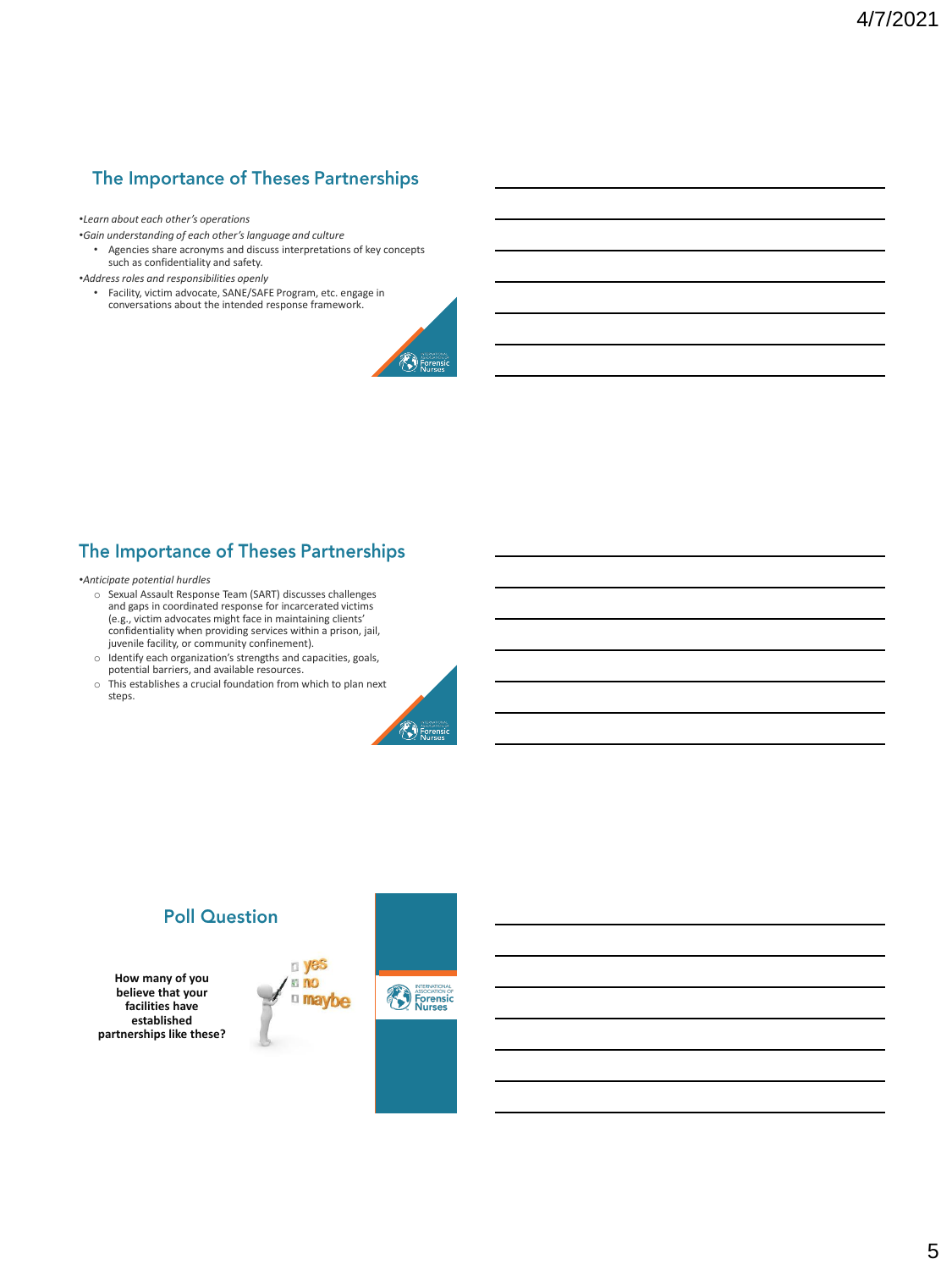# The Importance of Theses Partnerships

#### •*Learn about each other's operations*

- •*Gain understanding of each other's language and culture*
	- Agencies share acronyms and discuss interpretations of key concepts such as confidentiality and safety.
- •*Address roles and responsibilities openly*
	- Facility, victim advocate, SANE/SAFE Program, etc. engage in conversations about the intended response framework.



# The Importance of Theses Partnerships

•*Anticipate potential hurdles*

- o Sexual Assault Response Team (SART) discusses challenges and gaps in coordinated response for incarcerated victims (e.g., victim advocates might face in maintaining clients' confidentiality when providing services within a prison, jail, juvenile facility, or community confinement).
- o Identify each organization's strengths and capacities, goals, potential barriers, and available resources.
- o This establishes a crucial foundation from which to plan next steps.



# **Poll Question**

**How many of you believe that your facilities have established partnerships like these?** 



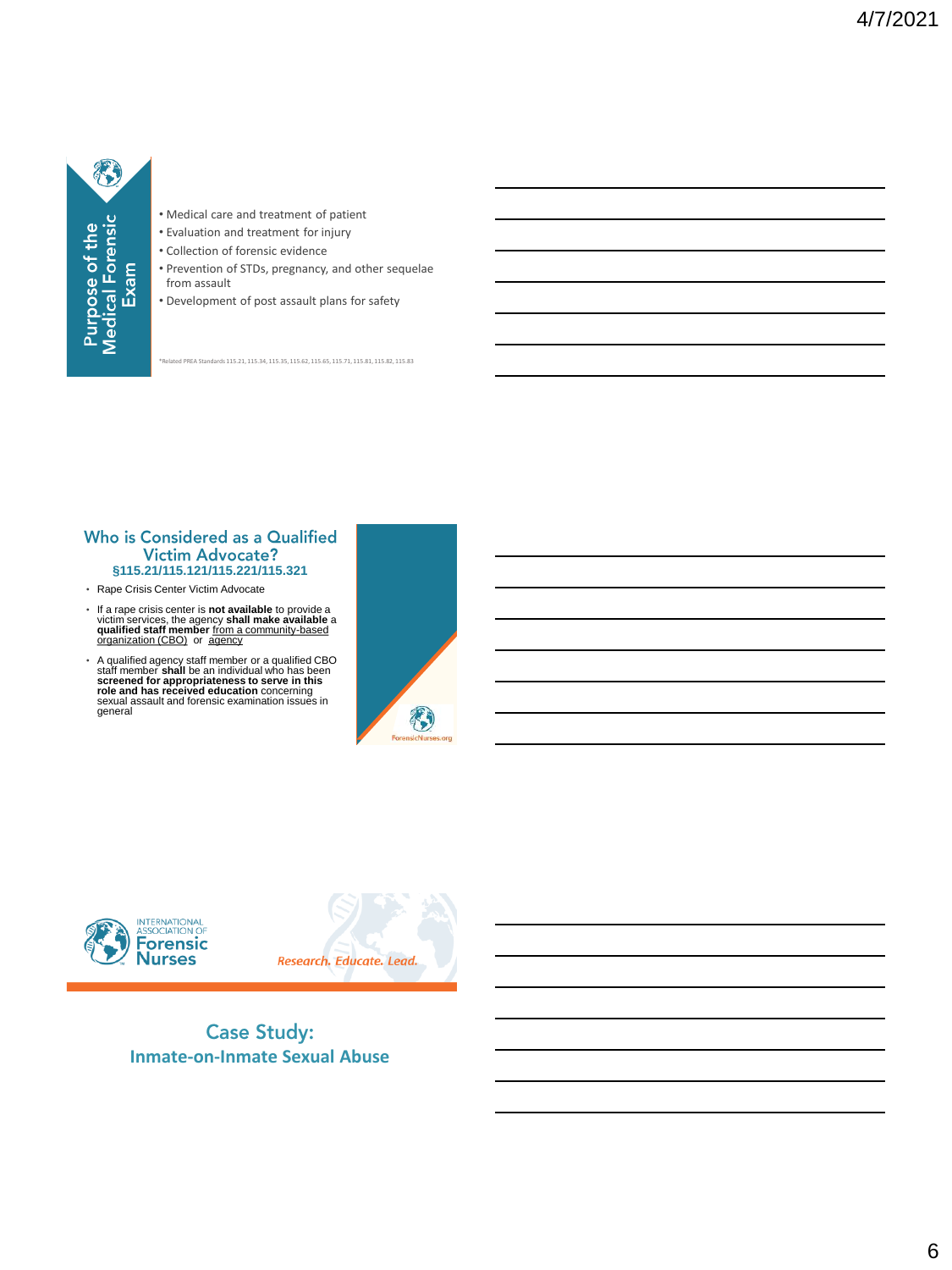

- Medical care and treatment of patient
- Evaluation and treatment for injury
- Collection of forensic evidence
- Prevention of STDs, pregnancy, and other sequelae from assault
- Development of post assault plans for safety

ed PREA Standards 115.21, 115.34, 115.35, 115.62, 115.65, 115.71, 115.81, 115.82, 115.83

#### Who is Considered as a Qualified Victim Advocate? **§115.21/115.121/115.221/115.321**

- Rape Crisis Center Victim Advocate
- If a rape crisis center is **not available** to provide a victim services, the agency **shall make available** a **qualified staff member** from a community-based organization (CBO) or agency
- A qualified agency staff member or a qualified CBO<br>staff member shall be an individual who has been<br>screened for appropriateness to serve in this<br>role and has received education concerning<br>sexual assault and forensic exami







**Case Study: Inmate-on-Inmate Sexual Abuse**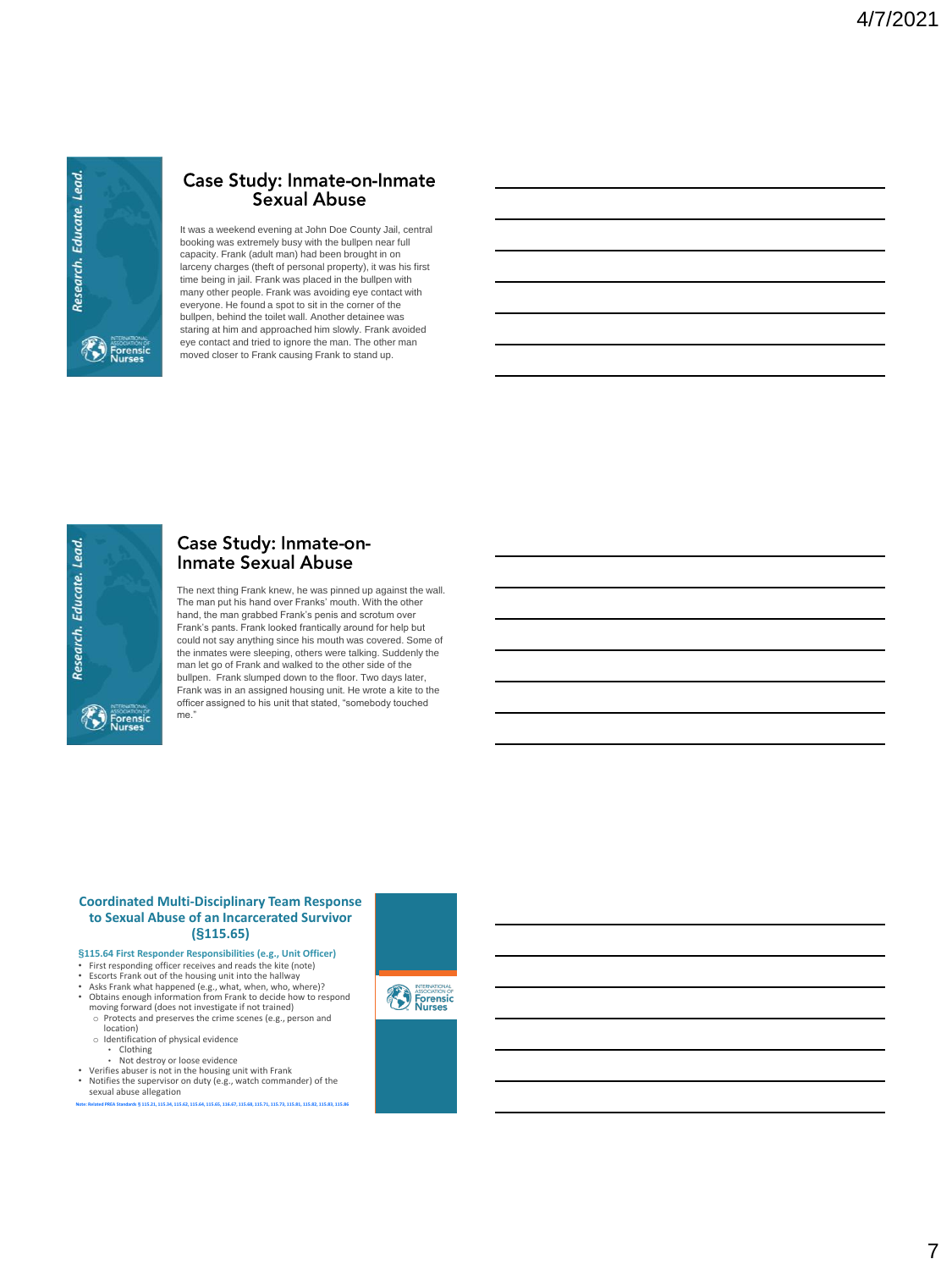

# Case Study: Inmate-on-Inmate<br>Sexual Abuse

It was a weekend evening at John Doe County Jail, central booking was extremely busy with the bullpen near full capacity. Frank (adult man) had been brought in on larceny charges (theft of personal property), it was his first time being in jail. Frank was placed in the bullpen with many other people. Frank was avoiding eye contact with everyone. He found a spot to sit in the corner of the bullpen, behind the toilet wall. Another detainee was staring at him and approached him slowly. Frank avoided eye contact and tried to ignore the man. The other man moved closer to Frank causing Frank to stand up.



# Case Study: Inmate-on-<br>Inmate Sexual Abuse

The next thing Frank knew, he was pinned up against the wall. The man put his hand over Franks' mouth. With the other hand, the man grabbed Frank's penis and scrotum over Frank's pants. Frank looked frantically around for help but could not say anything since his mouth was covered. Some of the inmates were sleeping, others were talking. Suddenly the man let go of Frank and walked to the other side of the bullpen. Frank slumped down to the floor. Two days later, Frank was in an assigned housing unit. He wrote a kite to the officer assigned to his unit that stated, "somebody touched me."

#### **Coordinated Multi-Disciplinary Team Response to Sexual Abuse of an Incarcerated Survivor (§115.65)**

- **§115.64 First Responder Responsibilities (e.g., Unit Officer)**
- First responding officer receives and reads the kite (note)
- 
- Escorts Frank out of the housing unit into the hallway<br>• Asks Frank what happened (e.g., what, when, who, where)?<br>• Obtains enough information from Frank to decide how to respond<br>moving forward (does not investigate if n
- o Protects and preserves the crime scenes (e.g., person and location) o Identification of physical evidence
- Clothing • Not destroy or loose evidence
- Verifies abuser is not in the housing unit with Frank
- Notifies the supervisor on duty (e.g., watch commander) of the
- sexual abuse allegation **Note: Related PREA Standards § 115.21, 115.34, 115.62, 115.64, 115.65, 116.67, 115.68, 115.71, 115.73, 115.81, 115.82, 115.83, 115.86**

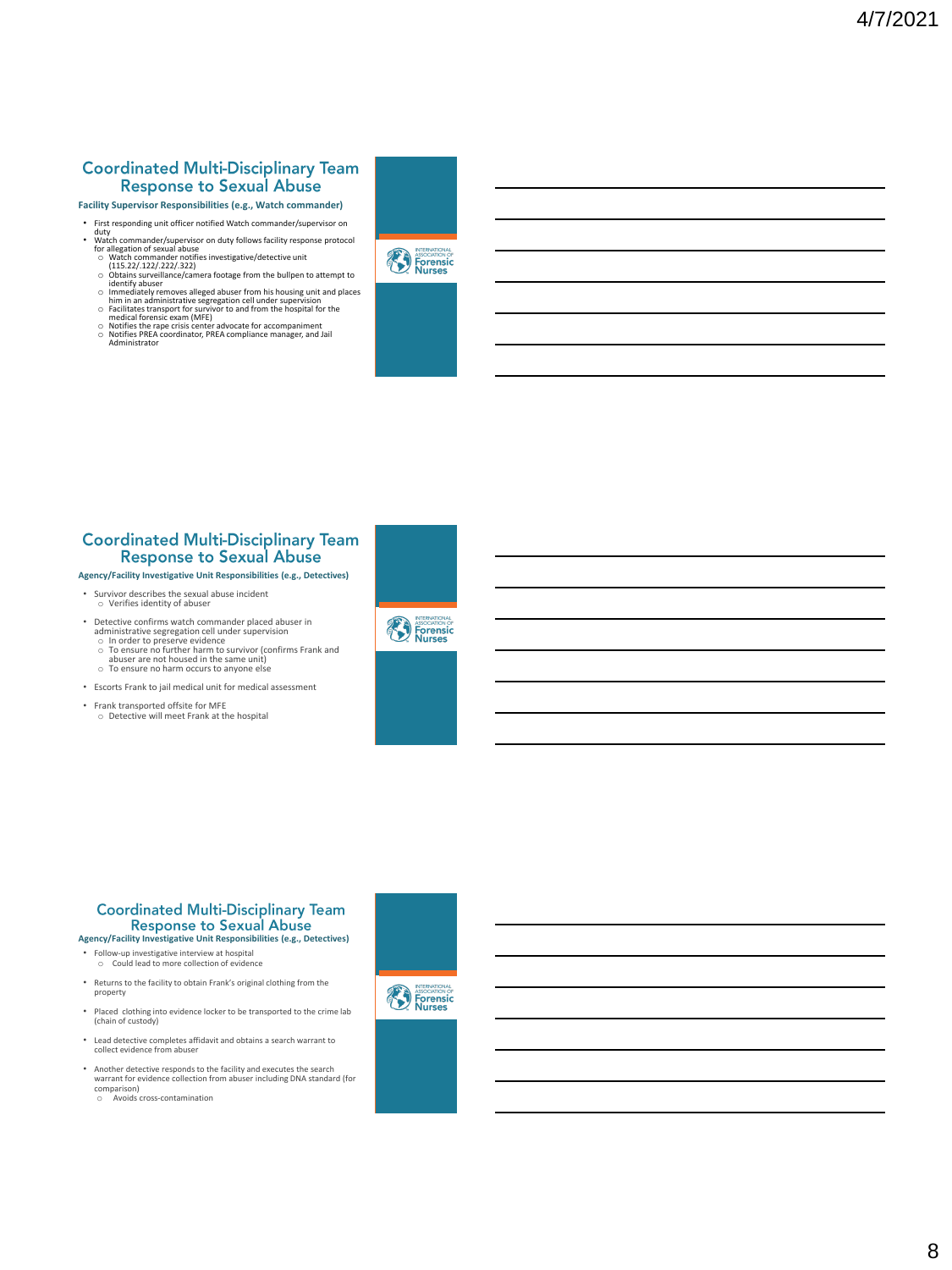#### **Coordinated Multi-Disciplinary Team Response to Sexual Abuse**

- **Facility Supervisor Responsibilities (e.g., Watch commander)** 
	-
- Irst responding unit officer notified Watch commander/supervisor on<br>
 Watch commander/supervisor on duty follows facility response protocol<br>
 Watch commander notifies investigative/detective unit<br>
 Units 22/.122/.222
	-
	-
	-
	-



#### **Coordinated Multi-Disciplinary Team Response to Sexual Abuse**

#### **Agency/Facility Investigative Unit Responsibilities (e.g., Detectives)**

- Survivor describes the sexual abuse incident o Verifies identity of abuser
- Detective confirms watch commander placed abuser in
	- administrative segregation cell under supervision<br>
	o In order to preserve evidence<br>
	o To ensure no further harm to survivor (confirms Frank and<br>
	abuser are not housed in the same unit)<br>
	o To ensure no harm occurs to anyone
	-
- Escorts Frank to jail medical unit for medical assessment
- Frank transported offsite for MFE o Detective will meet Frank at the hospital





- Returns to the facility to obtain Frank's original clothing from the property
- Placed clothing into evidence locker to be transported to the crime lab (chain of custody)
- Lead detective completes affidavit and obtains a search warrant to collect evidence from abuser
- Another detective responds to the facility and executes the search warrant for evidence collection from abuser including DNA standard (for comparison) o Avoids cross-contamination

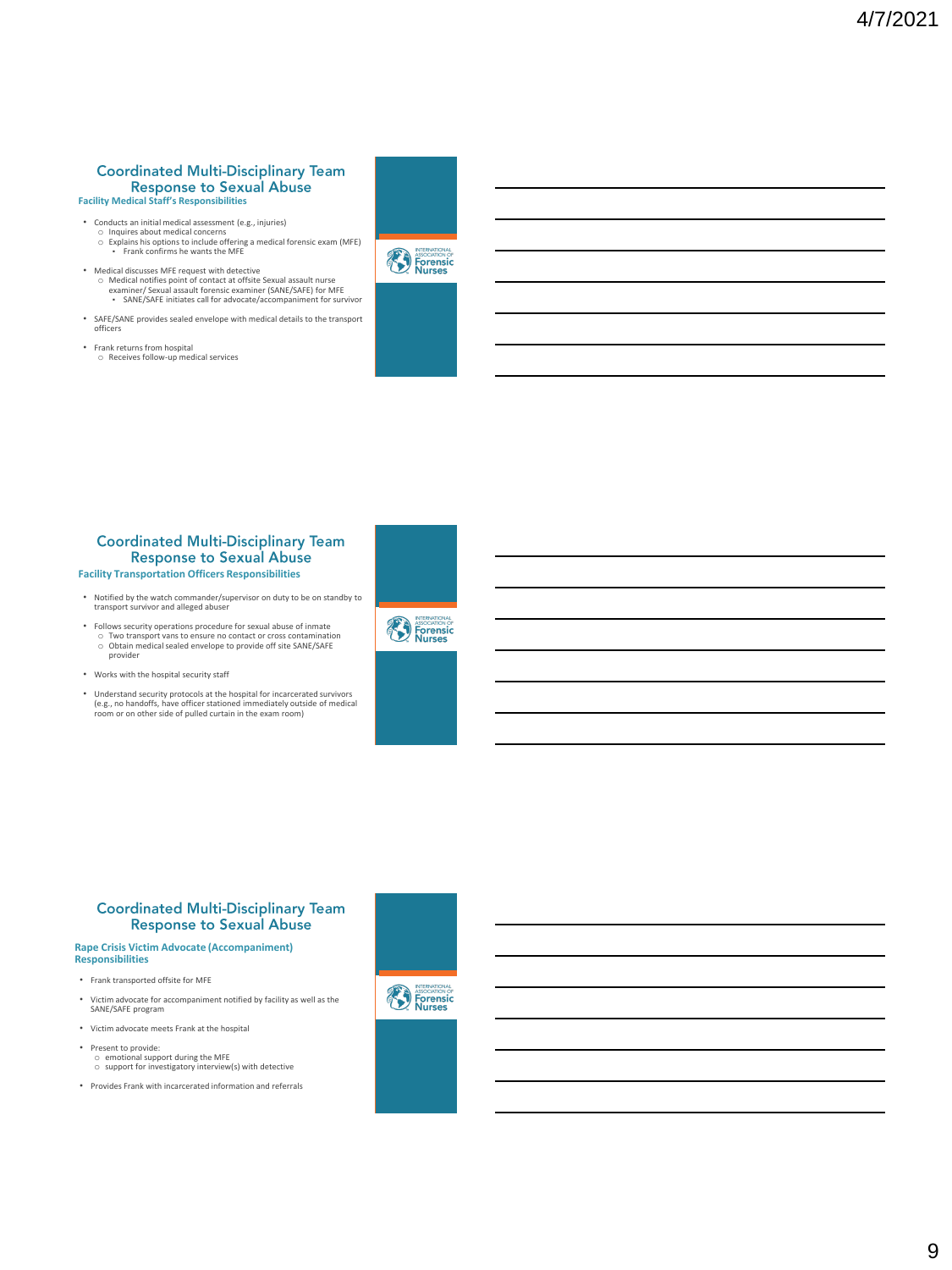# **Coordinated Multi-Disciplinary Team Facility Medical Staff's Responsibilities**

- 
- Conducts an initial medical assessment (e.g., injuries) o Inquires about medical concerns o Explains his options to include offering a medical forensic exam (MFE) Frank confirms he wants the MFE
- Medical discusses MFE request with detective o Medical notifies point of contact at offsite Sexual assault nurse examiner/ Sexual assault forensic examiner (SANE/SAFE) for MFE ▪ SANE/SAFE initiates call for advocate/accompaniment for survivor
- SAFE/SANE provides sealed envelope with medical details to the transport officers
- Frank returns from hospital o Receives follow-up medical services



### **Coordinated Multi-Disciplinary Team Response to Sexual Abuse**

**Facility Transportation Officers Responsibilities**

• Notified by the watch commander/supervisor on duty to be on standby to transport survivor and alleged abuser

• Follows security operations procedure for sexual abuse of inmate o Two transport vans to ensure no contact or cross contamination o Obtain medical sealed envelope to provide off site SANE/SAFE provider

- Works with the hospital security staff
- Understand security protocols at the hospital for incarcerated survivors (e.g., no handoffs, have officer stationed immediately outside of medical room or on other side of pulled curtain in the exam room)



#### **Coordinated Multi-Disciplinary Team Response to Sexual Abuse**

#### **Rape Crisis Victim Advocate (Accompaniment) Responsibilities**

- Frank transported offsite for MFE
- Victim advocate for accompaniment notified by facility as well as the SANE/SAFE program
- Victim advocate meets Frank at the hospital
- Present to provide: o emotional support during the MFE o support for investigatory interview(s) with detective
- Provides Frank with incarcerated information and referrals



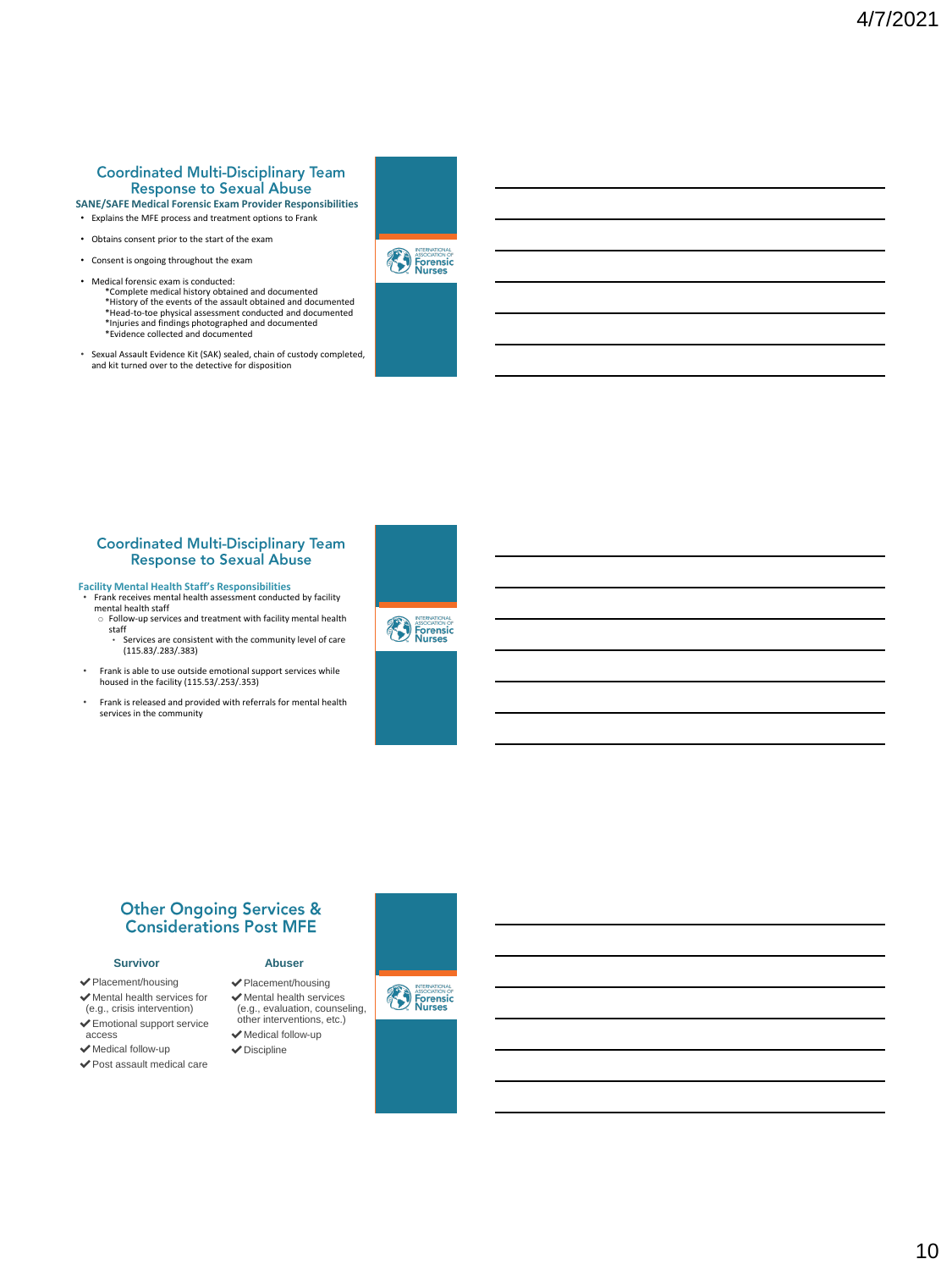#### **Coordinated Multi-Disciplinary Team Response to Sexual Abuse SANE/SAFE Medical Forensic Exam Provider Responsibilities**

- Explains the MFE process and treatment options to Frank
- Obtains consent prior to the start of the exam
- Consent is ongoing throughout the exam
- Medical forensic exam is conducted: \*Complete medical history obtained and documented \*History of the events of the assault obtained and documented \*Head-to-toe physical assessment conducted and documented \*Injuries and findings photographed and documented \*Evidence collected and documented
- Sexual Assault Evidence Kit (SAK) sealed, chain of custody completed, and kit turned over to the detective for disposition





#### **Coordinated Multi-Disciplinary Team Response to Sexual Abuse**

**Facility Mental Health Staff's Responsibilities** • Frank receives mental health assessment conducted by facility

- mental health staff o Follow-up services and treatment with facility mental health
	- staff<br>C • Services are consistent with the community level of care (115.83/.283/.383)
- Frank is able to use outside emotional support services while housed in the facility (115.53/.253/.353)
- Frank is released and provided with referrals for mental health services in the community





✔Placement/housing ✔Mental health services (e.g., evaluation, counseling, other interventions, etc.) ✔Medical follow-up  $\blacktriangleright$  Discipline

**Abuser**

#### **Survivor**

- ✔Placement/housing
- ✔Mental health services for (e.g., crisis intervention)
- ✔Emotional support service access
- ✔Medical follow-up
- ✔Post assault medical care





10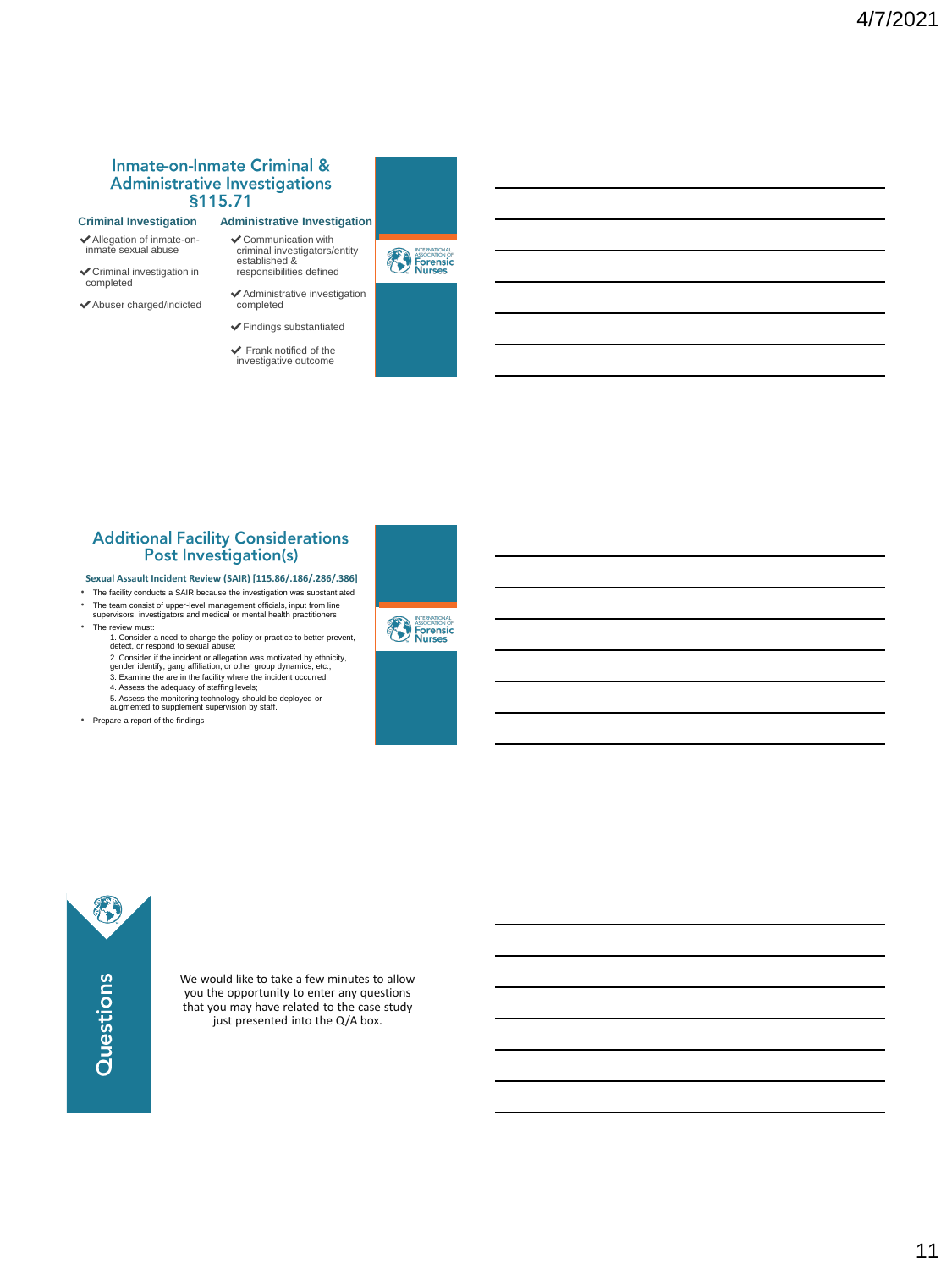#### **Inmate-on-Inmate Criminal & Administrative Investigations §**

#### **Criminal Investigation**

- ✔Allegation of inmate-on-inmate sexual abuse
- $\checkmark$  Criminal investigation in completed
- ✔Abuser charged/indicted

#### ✔Findings substantiated

completed

✔Communication with criminal investigators/entity established & responsibilities defined

 $\blacktriangleright$  Frank notified of the investigative outcome







# **Additional Facility Considerations<br>Post Investigation(s)**

- **Sexual Assault Incident Review (SAIR) [115.86/.186/.286/.386]**
- The facility conducts a SAIR because the investigation was substantiated
- The team consist of upper-level management officials, input from line supervisors, investigators and medical or mental health practitioners • The review must:
	- 1. Consider a need to change the policy or practice to better prevent,<br>detect, or respond to sexual abuse;<br>2. Consider if the incident or allegation was motivated by ethnicity,<br>gender identity, gang affiliation, or other g
	- 4. Assess the adequacy of staffing levels; 5. Assess the monitoring technology should be deployed or augmented to supplement supervision by staff.
	-
- Prepare a report of the findings





We would like to take a few minutes to allow you the opportunity to enter any questions that you may have related to the case study just presented into the Q/A box.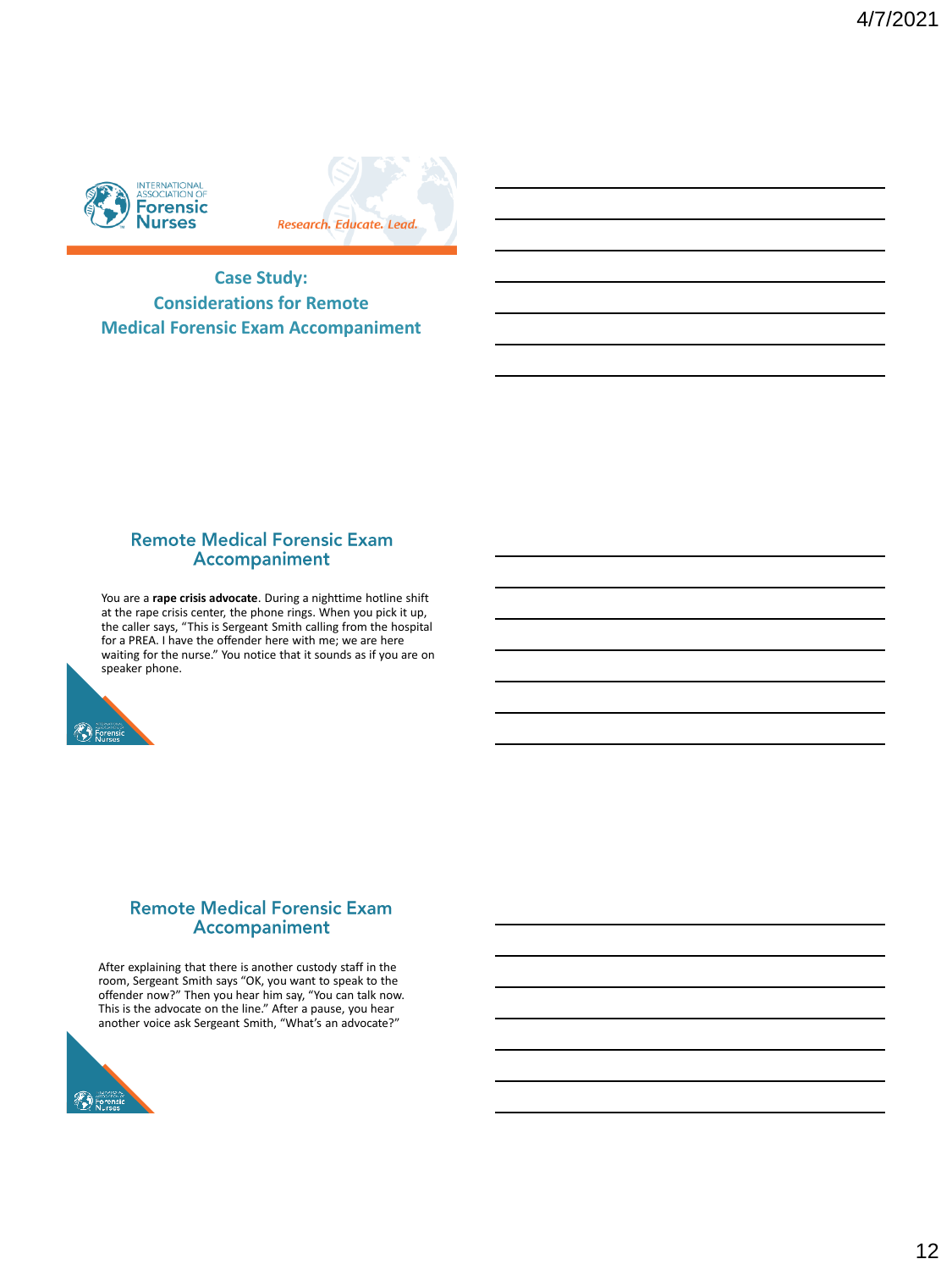



**Case Study: Considerations for Remote Medical Forensic Exam Accompaniment** 

### **Remote Medical Forensic Exam** Accompaniment

You are a **rape crisis advocate**. During a nighttime hotline shift at the rape crisis center, the phone rings. When you pick it up, the caller says, "This is Sergeant Smith calling from the hospital for a PREA. I have the offender here with me; we are here waiting for the nurse." You notice that it sounds as if you are on speaker phone.



### **Remote Medical Forensic Exam** Accompaniment

After explaining that there is another custody staff in the room, Sergeant Smith says "OK, you want to speak to the offender now?" Then you hear him say, "You can talk now. This is the advocate on the line." After a pause, you hear another voice ask Sergeant Smith, "What's an advocate?"

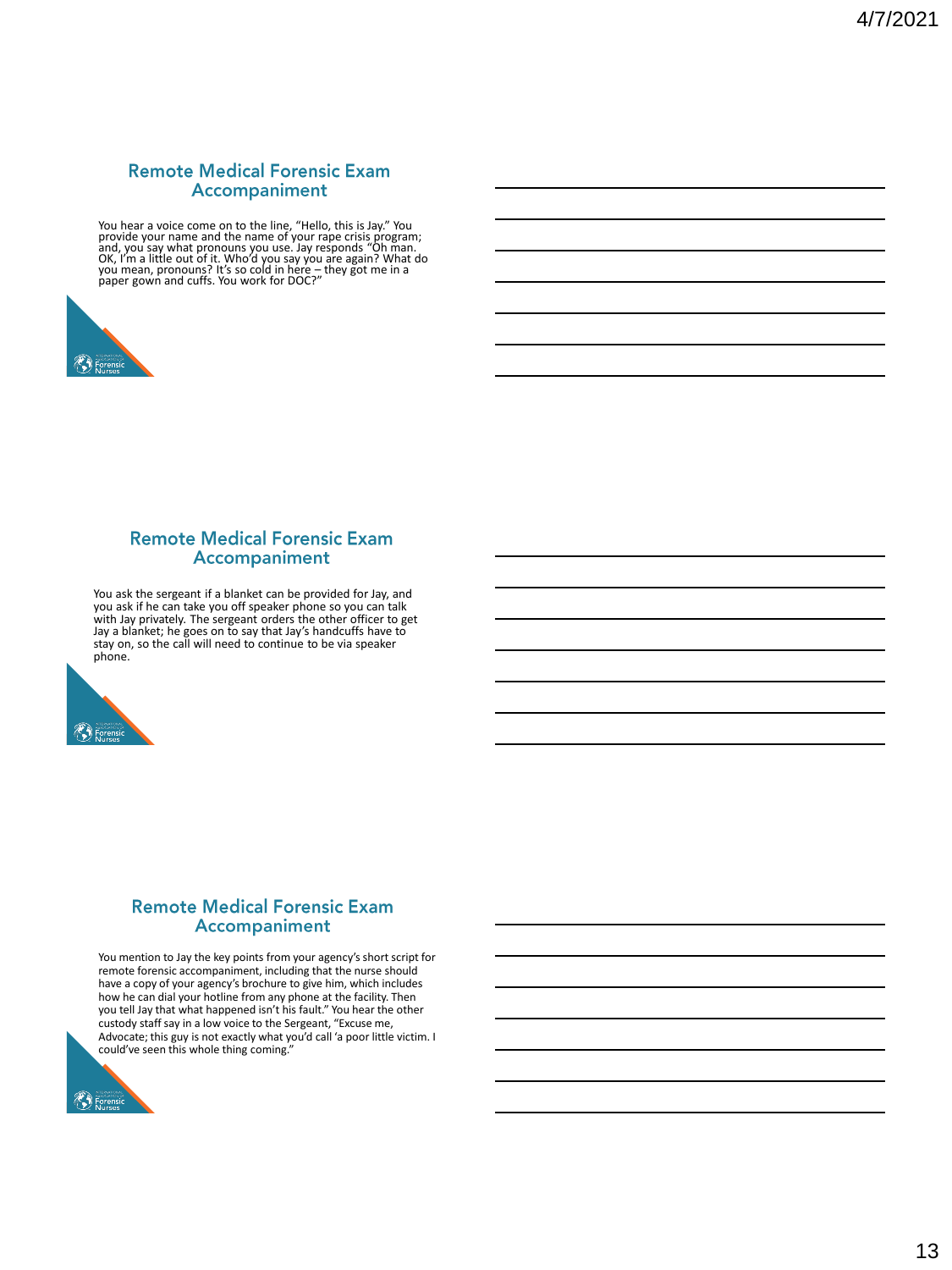# **Remote Medical Forensic Exam Accompaniment**

You hear a voice come on to the line, "Hello, this is Jay." You<br>provide your name and the name of your rape crisis program;<br>and, you say what pronouns you use. Jay responds "Oh man.<br>OK, I'm a little out of it. Who'd you sa



#### **Remote Medical Forensic Exam** Accompaniment

You ask the sergeant if a blanket can be provided for Jay, and<br>you ask if he can take you off speaker phone so you can talk<br>with Jay privately. The sergeant orders the other officer to get<br>Jay a blanket; he goes on to say phone.



#### **Remote Medical Forensic Exam Accompaniment**

You mention to Jay the key points from your agency's short script for remote forensic accompaniment, including that the nurse should have a copy of your agency's brochure to give him, which includes how he can dial your hotline from any phone at the facility. Then you tell Jay that what happened isn't his fault." You hear the other custody staff say in a low voice to the Sergeant, "Excuse me, Advocate; this guy is not exactly what you'd call 'a poor little victim. I could've seen this whole thing coming."

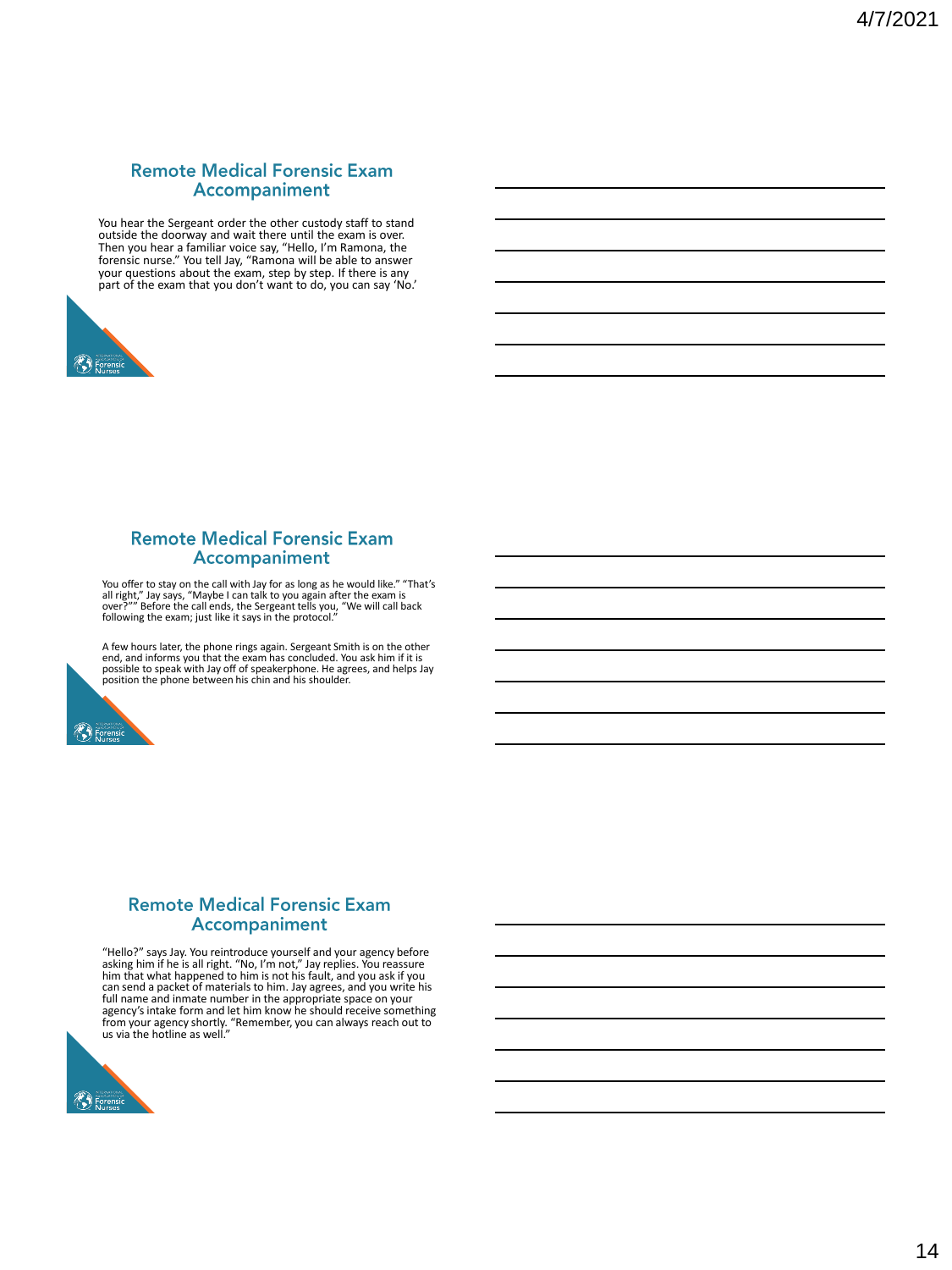# **Remote Medical Forensic Exam** Accompaniment

You hear the Sergeant order the other custody staff to stand outside the doorway and wait there until the exam is over.<br>Then you hear a familiar voice say, "Hello, I'm Ramona, the<br>forensic nurse." You tell Jay, "Ramona will be able to answer<br>your questions about the exam, step by st part of the exam that you don't want to do, you can say 'No.'



#### **Remote Medical Forensic Exam** Accompaniment

You offer to stay on the call with Jay for as long as he would like." "That's<br>all right," Jay says, "Maybe I can talk to you again after the exam is<br>over?"" Before the call ends, the Sergeant tells you, "We will call back<br>

A few hours later, the phone rings again. Sergeant Smith is on the other end, and informs you that the exam has concluded. You ask him if it is possible to speak with Jay off of speakerphone. He agrees, and helps Jay position the phone between his chin and his shoulder.



### **Remote Medical Forensic Exam** Accompaniment

"Hello?" says Jay. You reintroduce yourself and your agency before<br>asking him if he is all right. "No, I'm not," Jay replies. You reassure<br>him that what happened to him is not his fault, and you ask if you<br>can send a packe agency's intake form and let him know he should receive something<br>from your agency shortly. "Remember, you can always reach out to<br>us via the hotline as well."

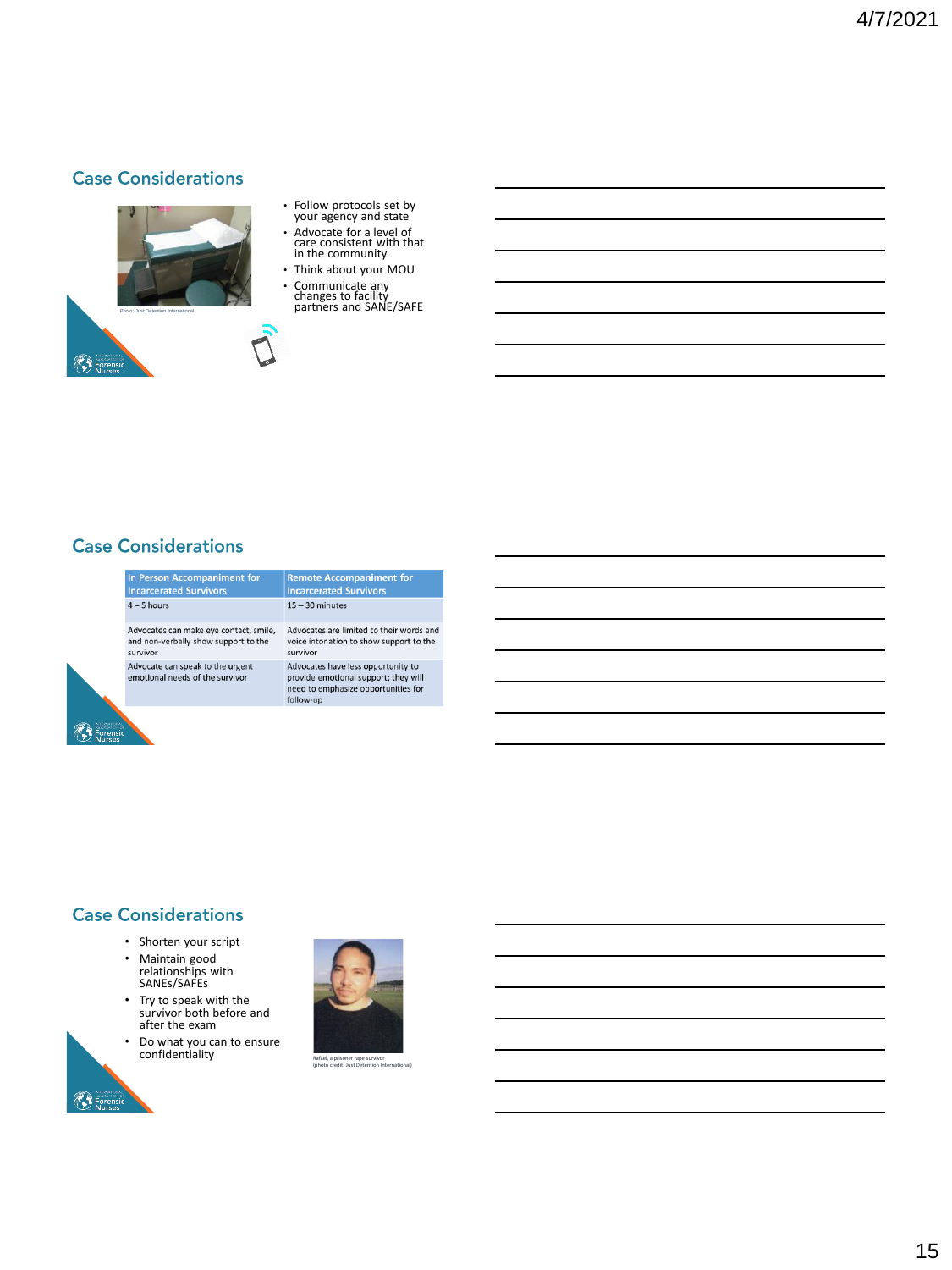# **Case Considerations**



- Follow protocols set by your agency and state
- Advocate for a level of care consistent with that in the community
- Think about your MOU

# **Case Considerations**

 $\left(\begin{matrix} 1 \\ 1 \end{matrix}\right)$  Forens

 $\binom{1}{2}$  Forensic



# **Remote Accompaniment for<br>Incarcerated Survivors**  $15 - 30$  minutes

Advocates are limited to their words and voice intonation to show support to the survivor Advocates have less opportunity to

provide emotional support; they will novide emotional support, they will<br>need to emphasize opportunities for<br>follow-up

# **Case Considerations**

- Shorten your script
- Maintain good relationships with SANEs/SAFEs
- Try to speak with the survivor both before and after the exam
- Do what you can to ensure<br>
confidentiality Rafael, a prisoner rape survivor

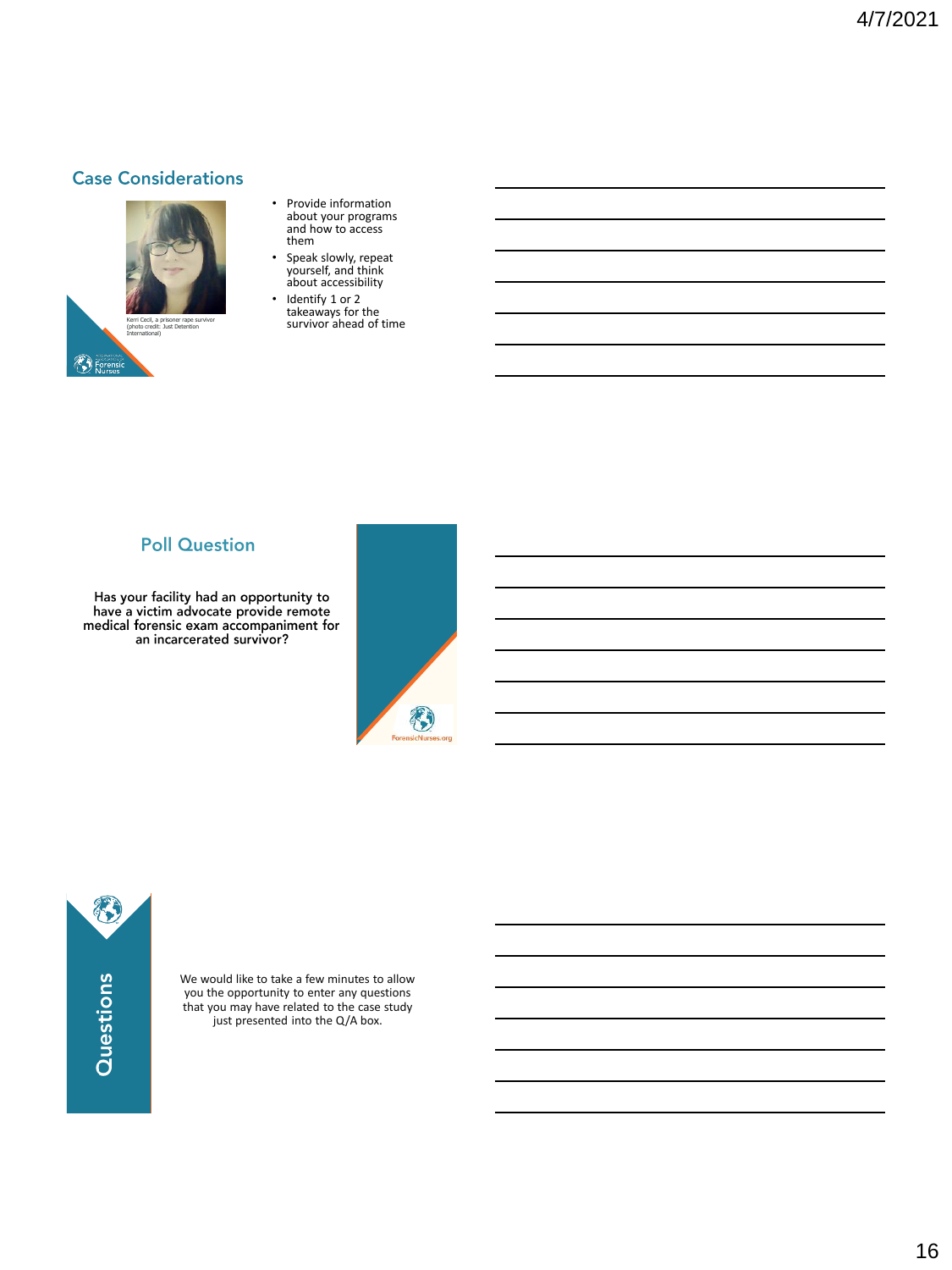# **Case Considerations**



- Provide information about your programs and how to access them
- Speak slowly, repeat yourself, and think about accessibility
- Identify 1 or 2 takeaways for the survivor ahead of time Kerri Cecil, a prisoner rape survivor

# **Poll Question**

Has your facility had an opportunity to<br>have a victim advocate provide remote<br>medical forensic exam accompaniment for an incarcerated survivor?



8 Questions

We would like to take a few minutes to allow you the opportunity to enter any questions that you may have related to the case study just presented into the Q/A box.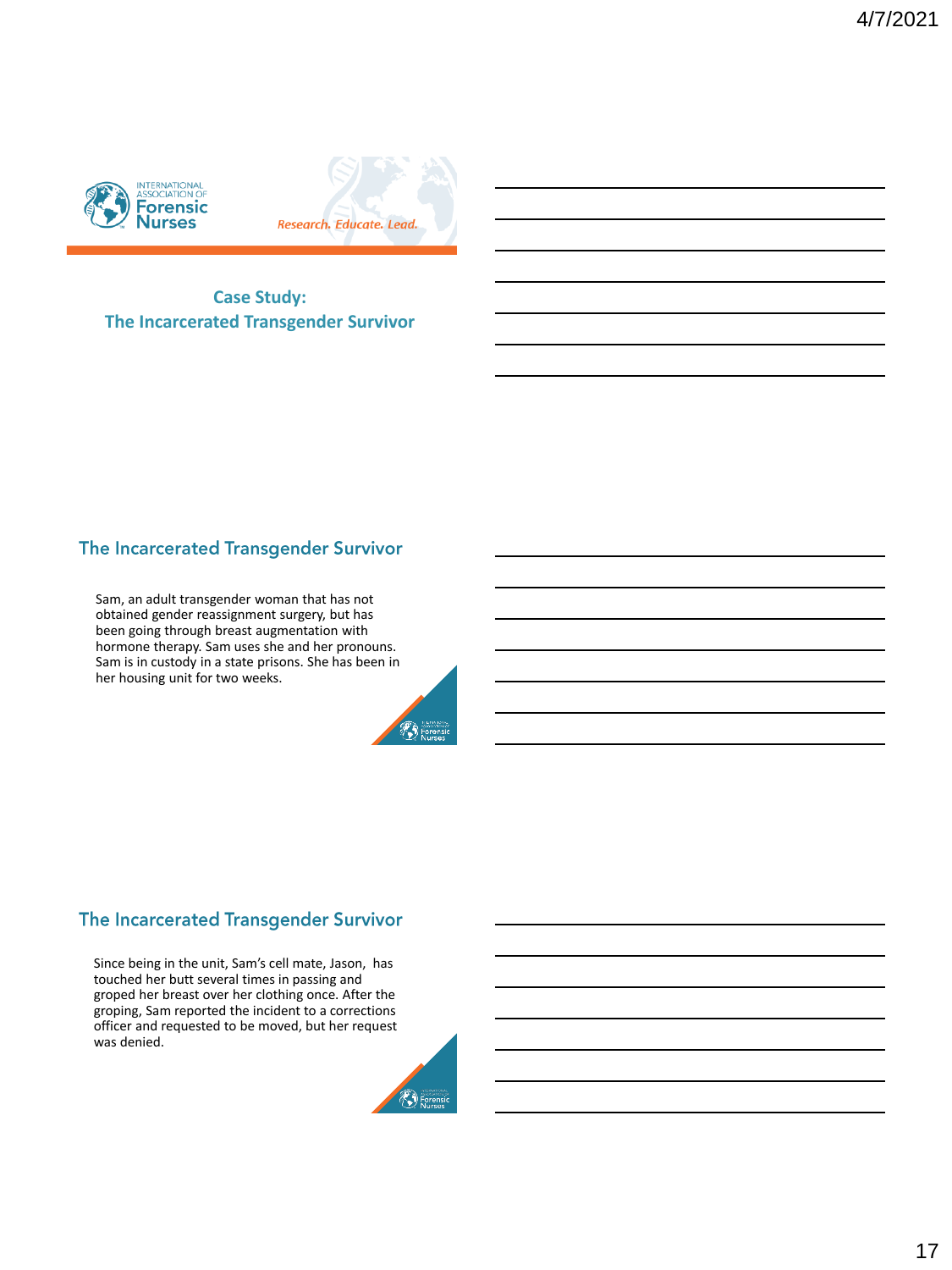



**Case Study: The Incarcerated Transgender Survivor**

# The Incarcerated Transgender Survivor

Sam, an adult transgender woman that has not obtained gender reassignment surgery, but has been going through breast augmentation with hormone therapy. Sam uses she and her pronouns. Sam is in custody in a state prisons. She has been in her housing unit for two weeks.



# The Incarcerated Transgender Survivor

Since being in the unit, Sam's cell mate, Jason, has touched her butt several times in passing and groped her breast over her clothing once. After the groping, Sam reported the incident to a corrections officer and requested to be moved, but her request was denied.

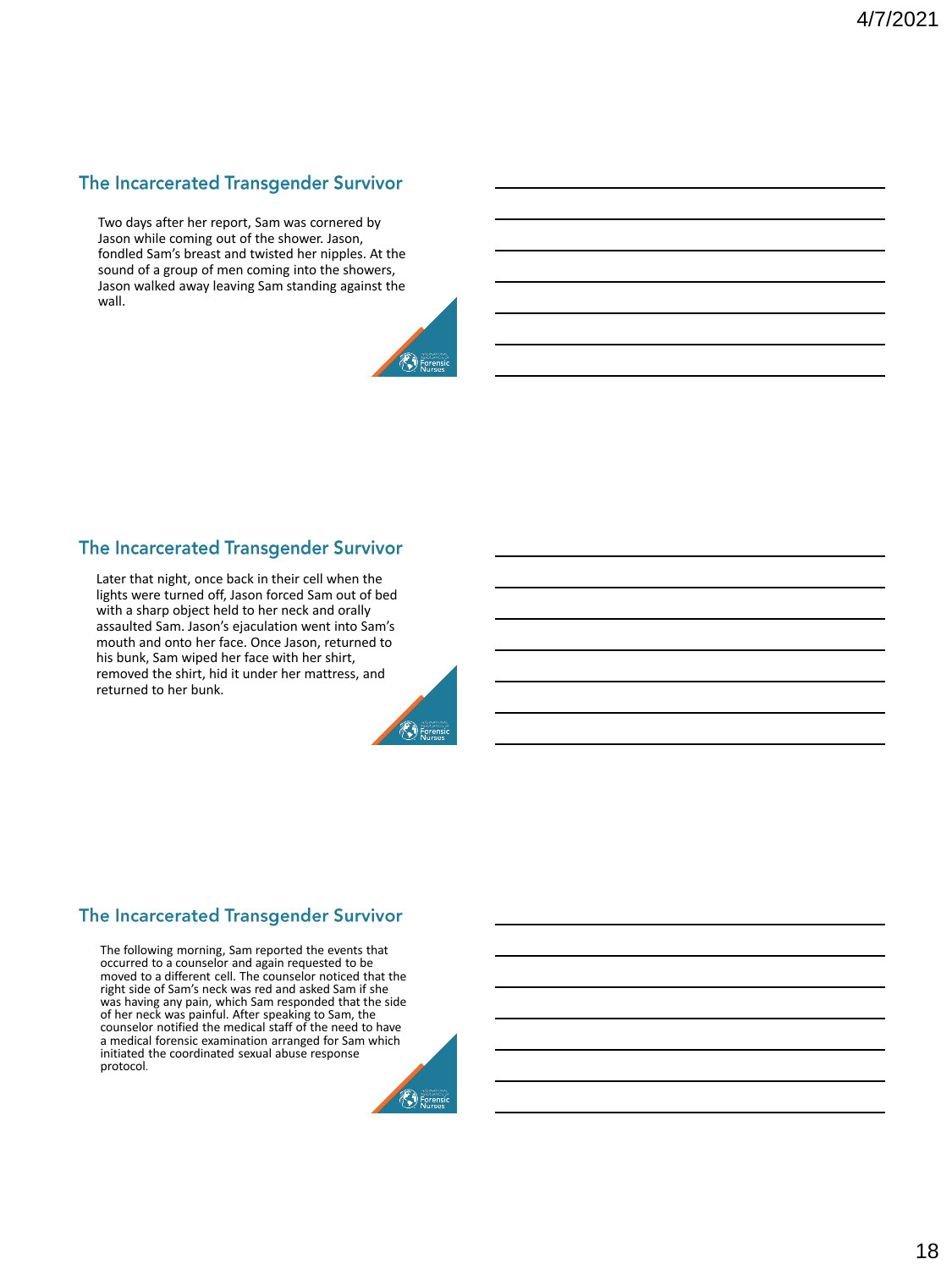# The Incarcerated Transgender Survivor

Two days after her report, Sam was cornered by Jason while coming out of the shower. Jason, fondled Sam's breast and twisted her nipples. At the sound of a group of men coming into the showers, Jason walked away leaving Sam standing against the wall.



# The Incarcerated Transgender Survivor

Later that night, once back in their cell when the lights were turned off, Jason forced Sam out of bed with a sharp object held to her neck and orally assaulted Sam. Jason's ejaculation went into Sam's mouth and onto her face. Once Jason, returned to his bunk, Sam wiped her face with her shirt, removed the shirt, hid it under her mattress, and returned to her bunk.



# The Incarcerated Transgender Survivor

The following morning, Sam reported the events that occurred to a counselor and again requested to be moved to a different cell. The counselor noticed that the right side of Sam's neck was red and asked Sam if she was having any pain, which Sam responded that the side of her neck was painful. After speaking to Sam, the counselor notified the medical staff of the need to have a medical forensic examination arranged for Sam which initiated the coordinated sexual abuse response protocol.

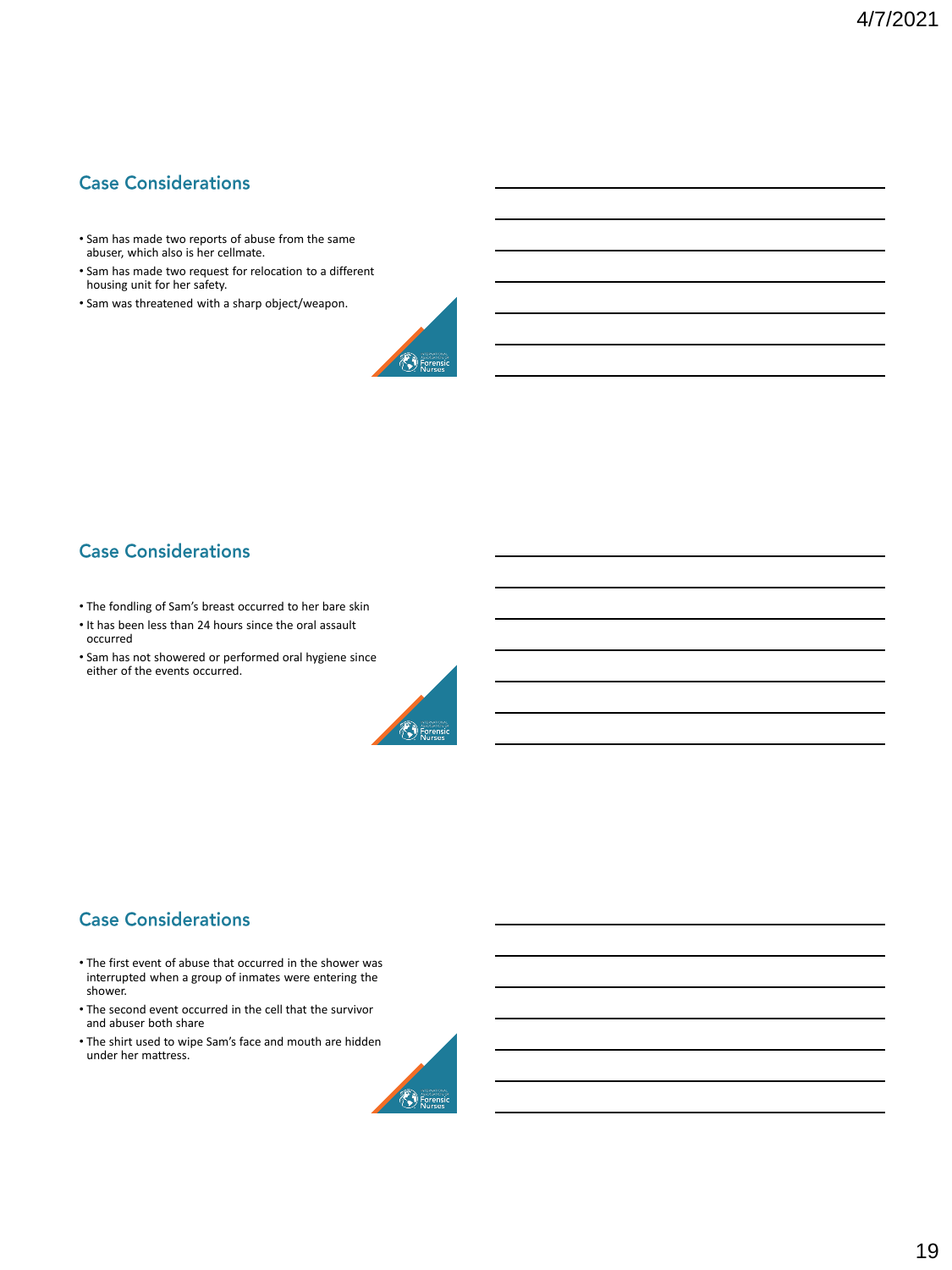# **Case Considerations**

- Sam has made two reports of abuse from the same abuser, which also is her cellmate.
- Sam has made two request for relocation to a different housing unit for her safety.
- Sam was threatened with a sharp object/weapon.



# **Case Considerations**

- The fondling of Sam's breast occurred to her bare skin
- It has been less than 24 hours since the oral assault occurred
- Sam has not showered or performed oral hygiene since either of the events occurred.



# **Case Considerations**

- The first event of abuse that occurred in the shower was interrupted when a group of inmates were entering the shower.
- The second event occurred in the cell that the survivor and abuser both share
- The shirt used to wipe Sam's face and mouth are hidden under her mattress.

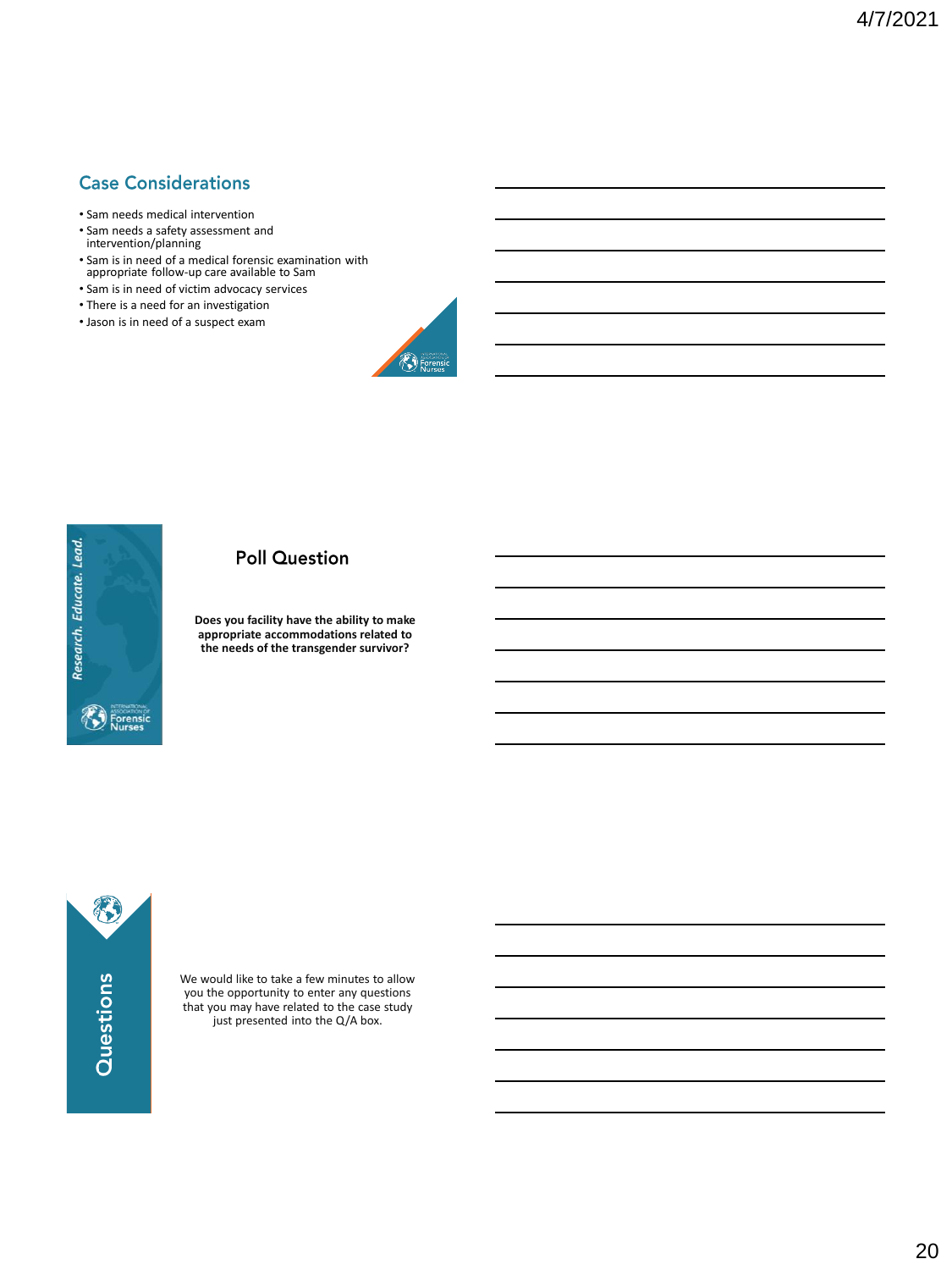# **Case Considerations**

- Sam needs medical intervention
- Sam needs a safety assessment and intervention/planning
- Sam is in need of a medical forensic examination with appropriate follow-up care available to Sam
- Sam is in need of victim advocacy services
- There is a need for an investigation
- Jason is in need of a suspect exam





## **Poll Question**

**Does you facility have the ability to make appropriate accommodations related to the needs of the transgender survivor?** 

8 Questions

We would like to take a few minutes to allow you the opportunity to enter any questions that you may have related to the case study just presented into the Q/A box.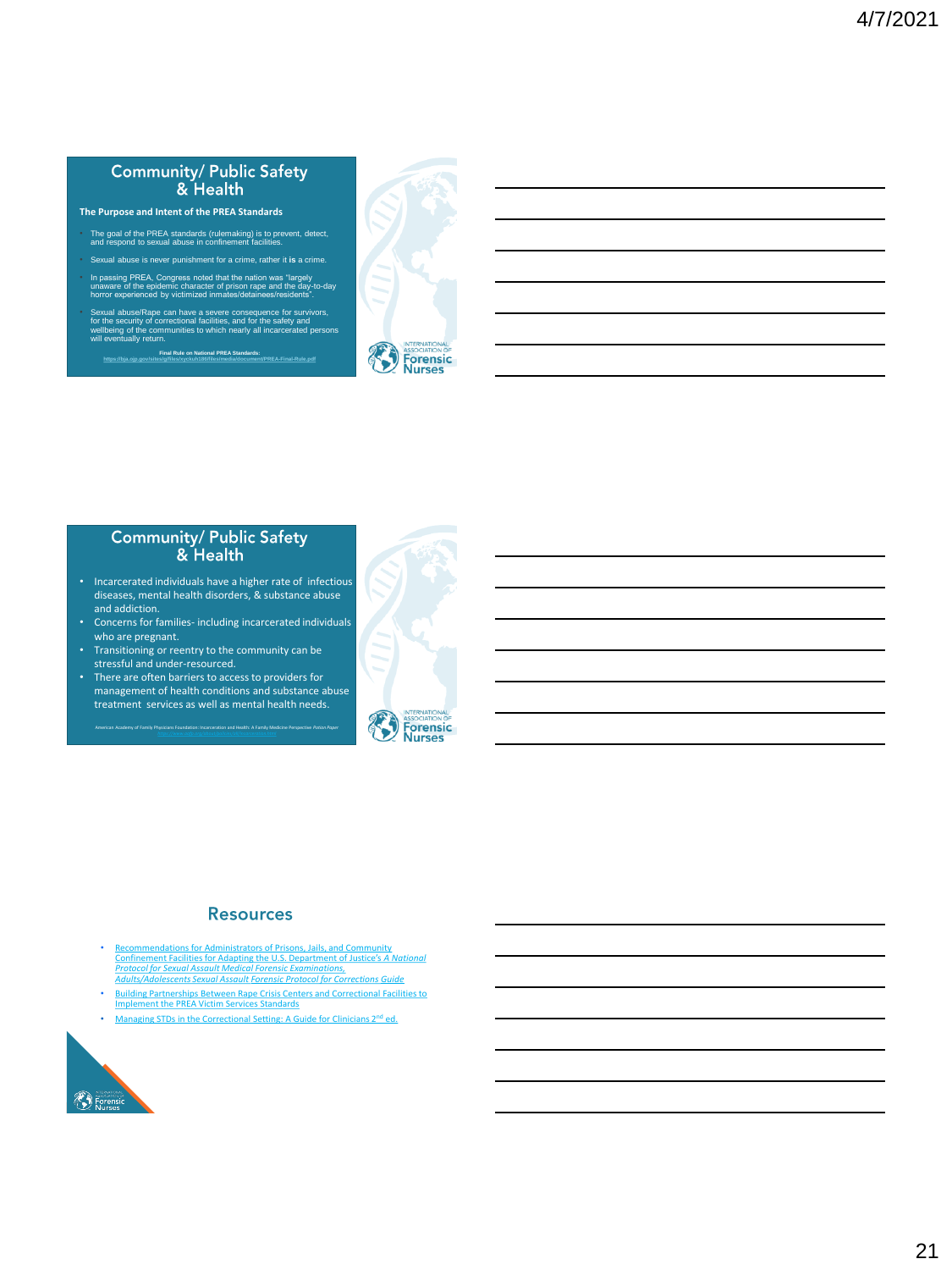#### **Community/ Public Safety** & Health

- **The Purpose and Intent of the PREA Standards**
- The goal of the PREA standards (rulemaking) is to prevent, detect, and respond to sexual abuse in confinement facilities.
- Sexual abuse is never punishment for a crime, rather it **is** a crime.
- In passing PREA, Congress noted that the nation was "largely<br>unaware of the epidemic character of prison rape and the day-to-day<br>horror experienced by victimized inmates/detainees/residents".
- Sexual abuse/Rape can have a severe consequence for survivors,<br>for the security of correctional facilities, and for the safety and<br>wellbeing of the communities to which nearly all incarcerated persons<br>will eventually retur
	- **Final Rule on National PREA Standards: <https://bja.ojp.gov/sites/g/files/xyckuh186/files/media/document/PREA-Final-Rule.pdf>**



# Community/ Public Safety<br>& Health

- Incarcerated individuals have a higher rate of infectious diseases, mental health disorders, & substance abuse and addiction.
- Concerns for families- including incarcerated individuals
- who are pregnant. Transitioning or reentry to the community can be stressful and under-resourced.
- There are often barriers to access to providers for management of health conditions and substance abuse treatment services as well as mental health needs.

American Academy of Family Physicians Foundation: Incarceration and Health: A Family Medicine Perspective *Potion Paper* 



#### **Resources**

- Recommendations for Administrators of Prisons, Jails, and Comm Confinement Facilities for Adapting the U.S. Department of Justice's *A National Protocol for Sexual Assault Medical Forensic Examinations, Adults/Adolescents Sexual Assault Forensic Protocol for Corrections Guide*
- [Building Partnerships Between Rape Crisis Centers and Correctional Facilities to](https://www.prearesourcecenter.org/sites/default/files/library/rccresponsetosaincorrectionsforumfinalreport2.pdf) Implement the PREA Victim Services Standards
- [Managing STDs in the Correctional Setting: A Guide for Clinicians 2](https://www.ncsddc.org/wp-content/uploads/2017/08/managing_stds_in_correctional_settings_2nd_ed_feb_2011.pdf)<sup>nd</sup> ed.

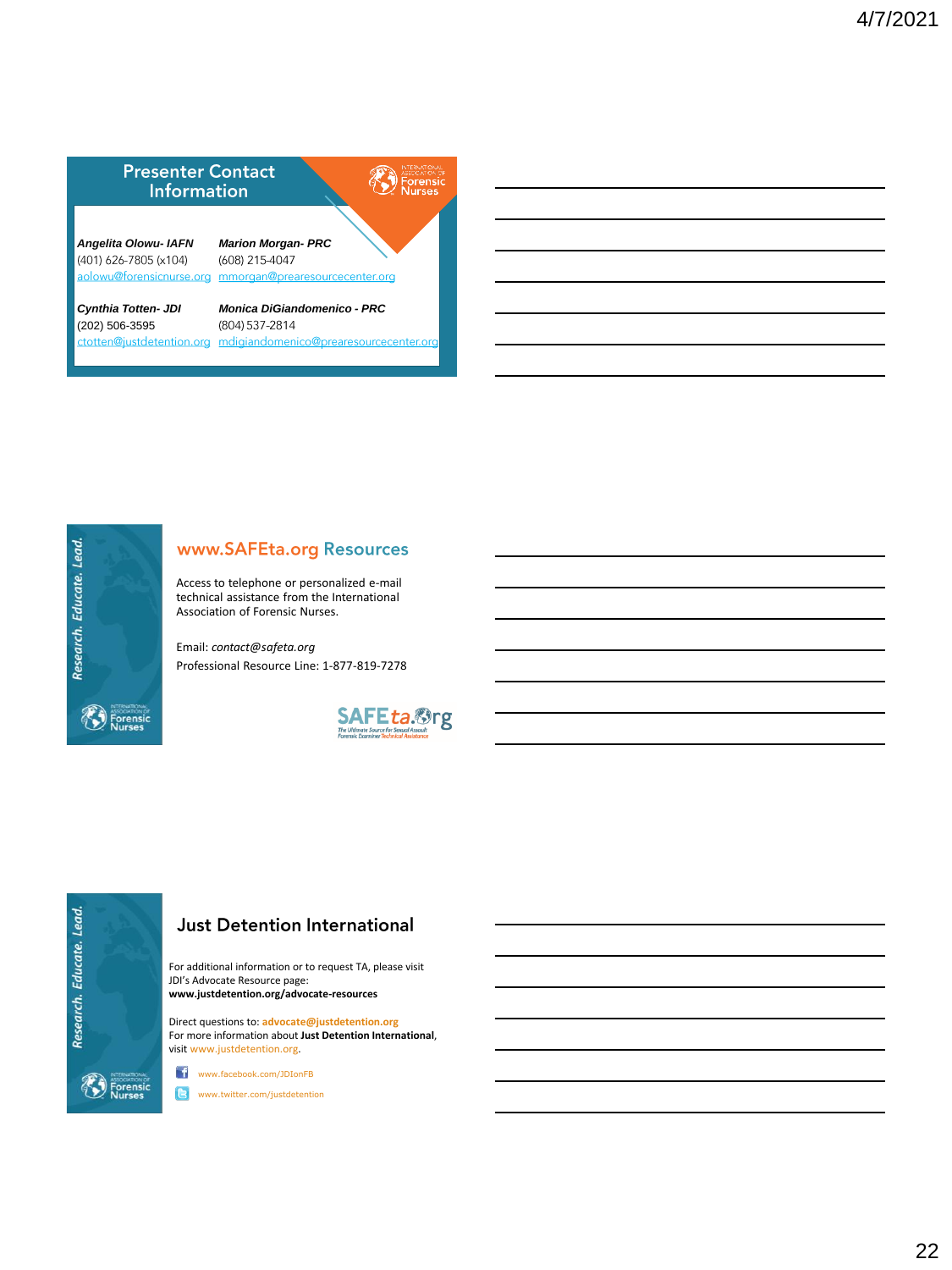



# www.SAFEta.org Resources

Access to telephone or personalized e-mail technical assistance from the International Association of Forensic Nurses.

Email: *contact@safeta.org* Professional Resource Line: 1-877-819-7278





# **Just Detention International**

For additional information or to request TA, please visit JDI's Advocate Resource page: **www.justdetention.org/advocate-resources**

Direct questions to: **advocate@justdetention.org** For more information about **Just Detention International**, visit www.justdetention.org.

www.facebook.com/JDIonFB

www.twitter.com/justdetention